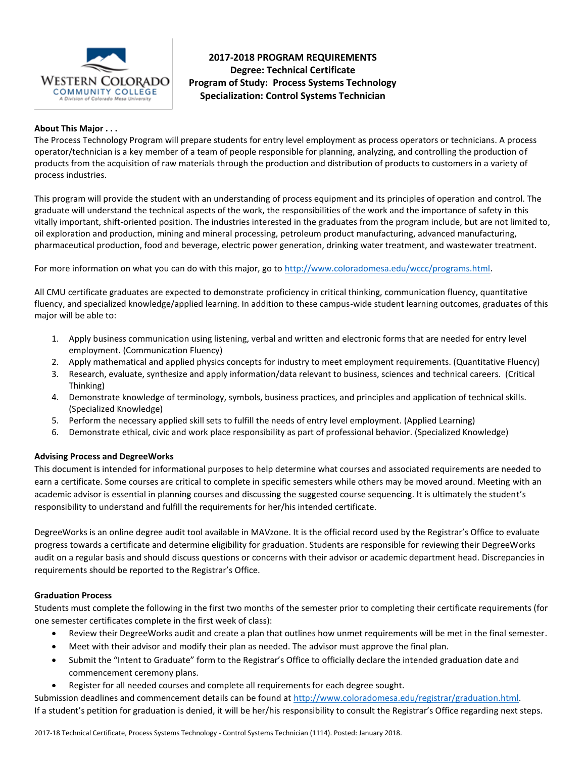

# **2017-2018 PROGRAM REQUIREMENTS Degree: Technical Certificate Program of Study: Process Systems Technology Specialization: Control Systems Technician**

# **About This Major . . .**

The Process Technology Program will prepare students for entry level employment as process operators or technicians. A process operator/technician is a key member of a team of people responsible for planning, analyzing, and controlling the production of products from the acquisition of raw materials through the production and distribution of products to customers in a variety of process industries.

This program will provide the student with an understanding of process equipment and its principles of operation and control. The graduate will understand the technical aspects of the work, the responsibilities of the work and the importance of safety in this vitally important, shift-oriented position. The industries interested in the graduates from the program include, but are not limited to, oil exploration and production, mining and mineral processing, petroleum product manufacturing, advanced manufacturing, pharmaceutical production, food and beverage, electric power generation, drinking water treatment, and wastewater treatment.

For more information on what you can do with this major, go to [http://www.coloradomesa.edu/wccc/programs.html.](http://www.coloradomesa.edu/wccc/programs.html)

All CMU certificate graduates are expected to demonstrate proficiency in critical thinking, communication fluency, quantitative fluency, and specialized knowledge/applied learning. In addition to these campus-wide student learning outcomes, graduates of this major will be able to:

- 1. Apply business communication using listening, verbal and written and electronic forms that are needed for entry level employment. (Communication Fluency)
- 2. Apply mathematical and applied physics concepts for industry to meet employment requirements. (Quantitative Fluency)
- 3. Research, evaluate, synthesize and apply information/data relevant to business, sciences and technical careers. (Critical Thinking)
- 4. Demonstrate knowledge of terminology, symbols, business practices, and principles and application of technical skills. (Specialized Knowledge)
- 5. Perform the necessary applied skill sets to fulfill the needs of entry level employment. (Applied Learning)
- 6. Demonstrate ethical, civic and work place responsibility as part of professional behavior. (Specialized Knowledge)

#### **Advising Process and DegreeWorks**

This document is intended for informational purposes to help determine what courses and associated requirements are needed to earn a certificate. Some courses are critical to complete in specific semesters while others may be moved around. Meeting with an academic advisor is essential in planning courses and discussing the suggested course sequencing. It is ultimately the student's responsibility to understand and fulfill the requirements for her/his intended certificate.

DegreeWorks is an online degree audit tool available in MAVzone. It is the official record used by the Registrar's Office to evaluate progress towards a certificate and determine eligibility for graduation. Students are responsible for reviewing their DegreeWorks audit on a regular basis and should discuss questions or concerns with their advisor or academic department head. Discrepancies in requirements should be reported to the Registrar's Office.

#### **Graduation Process**

Students must complete the following in the first two months of the semester prior to completing their certificate requirements (for one semester certificates complete in the first week of class):

- Review their DegreeWorks audit and create a plan that outlines how unmet requirements will be met in the final semester.
- Meet with their advisor and modify their plan as needed. The advisor must approve the final plan.
- Submit the "Intent to Graduate" form to the Registrar's Office to officially declare the intended graduation date and commencement ceremony plans.
- Register for all needed courses and complete all requirements for each degree sought.

Submission deadlines and commencement details can be found at [http://www.coloradomesa.edu/registrar/graduation.html.](http://www.coloradomesa.edu/registrar/graduation.html) If a student's petition for graduation is denied, it will be her/his responsibility to consult the Registrar's Office regarding next steps.